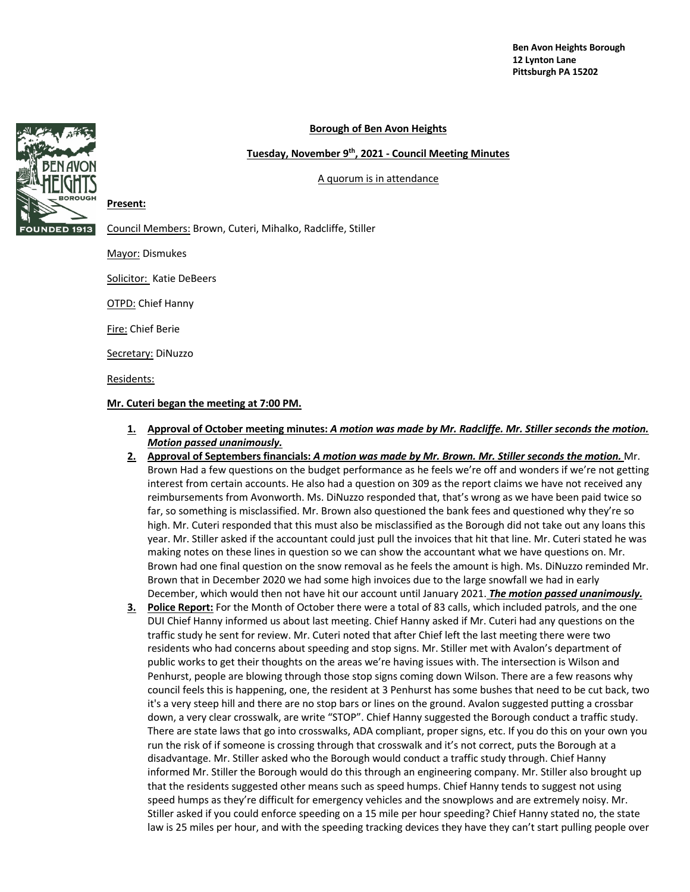# **Borough of Ben Avon Heights**

### **Tuesday, November 9th, 2021 - Council Meeting Minutes**

### A quorum is in attendance

**Present:** 

Council Members: Brown, Cuteri, Mihalko, Radcliffe, Stiller

Mayor: Dismukes

Solicitor: Katie DeBeers

**OTPD: Chief Hanny** 

Fire: Chief Berie

Secretary: DiNuzzo

Residents:

### **Mr. Cuteri began the meeting at 7:00 PM.**

- **1. Approval of October meeting minutes:** *A motion was made by Mr. Radcliffe. Mr. Stiller seconds the motion. Motion passed unanimously.*
- **2. Approval of Septembers financials:** *A motion was made by Mr. Brown. Mr. Stiller seconds the motion.* Mr. Brown Had a few questions on the budget performance as he feels we're off and wonders if we're not getting interest from certain accounts. He also had a question on 309 as the report claims we have not received any reimbursements from Avonworth. Ms. DiNuzzo responded that, that's wrong as we have been paid twice so far, so something is misclassified. Mr. Brown also questioned the bank fees and questioned why they're so high. Mr. Cuteri responded that this must also be misclassified as the Borough did not take out any loans this year. Mr. Stiller asked if the accountant could just pull the invoices that hit that line. Mr. Cuteri stated he was making notes on these lines in question so we can show the accountant what we have questions on. Mr. Brown had one final question on the snow removal as he feels the amount is high. Ms. DiNuzzo reminded Mr. Brown that in December 2020 we had some high invoices due to the large snowfall we had in early December, which would then not have hit our account until January 2021. *The motion passed unanimously.*
- **3. Police Report:** For the Month of October there were a total of 83 calls, which included patrols, and the one DUI Chief Hanny informed us about last meeting. Chief Hanny asked if Mr. Cuteri had any questions on the traffic study he sent for review. Mr. Cuteri noted that after Chief left the last meeting there were two residents who had concerns about speeding and stop signs. Mr. Stiller met with Avalon's department of public works to get their thoughts on the areas we're having issues with. The intersection is Wilson and Penhurst, people are blowing through those stop signs coming down Wilson. There are a few reasons why council feels this is happening, one, the resident at 3 Penhurst has some bushes that need to be cut back, two it's a very steep hill and there are no stop bars or lines on the ground. Avalon suggested putting a crossbar down, a very clear crosswalk, are write "STOP". Chief Hanny suggested the Borough conduct a traffic study. There are state laws that go into crosswalks, ADA compliant, proper signs, etc. If you do this on your own you run the risk of if someone is crossing through that crosswalk and it's not correct, puts the Borough at a disadvantage. Mr. Stiller asked who the Borough would conduct a traffic study through. Chief Hanny informed Mr. Stiller the Borough would do this through an engineering company. Mr. Stiller also brought up that the residents suggested other means such as speed humps. Chief Hanny tends to suggest not using speed humps as they're difficult for emergency vehicles and the snowplows and are extremely noisy. Mr. Stiller asked if you could enforce speeding on a 15 mile per hour speeding? Chief Hanny stated no, the state law is 25 miles per hour, and with the speeding tracking devices they have they can't start pulling people over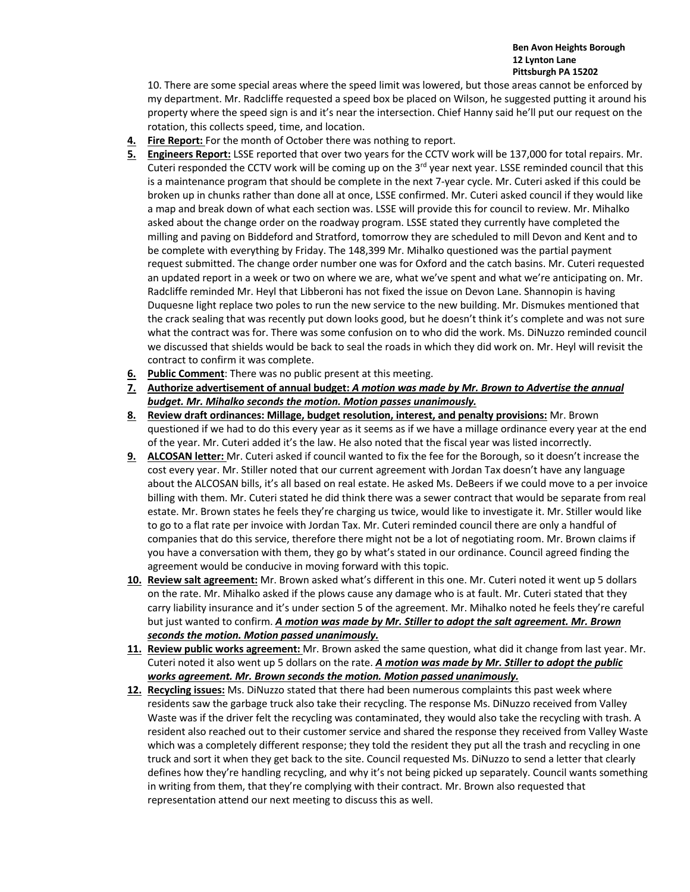## **Ben Avon Heights Borough 12 Lynton Lane Pittsburgh PA 15202**

10. There are some special areas where the speed limit was lowered, but those areas cannot be enforced by my department. Mr. Radcliffe requested a speed box be placed on Wilson, he suggested putting it around his property where the speed sign is and it's near the intersection. Chief Hanny said he'll put our request on the rotation, this collects speed, time, and location.

- **4. Fire Report:** For the month of October there was nothing to report.
- **5. Engineers Report:** LSSE reported that over two years for the CCTV work will be 137,000 for total repairs. Mr. Cuteri responded the CCTV work will be coming up on the  $3<sup>rd</sup>$  year next year. LSSE reminded council that this is a maintenance program that should be complete in the next 7-year cycle. Mr. Cuteri asked if this could be broken up in chunks rather than done all at once, LSSE confirmed. Mr. Cuteri asked council if they would like a map and break down of what each section was. LSSE will provide this for council to review. Mr. Mihalko asked about the change order on the roadway program. LSSE stated they currently have completed the milling and paving on Biddeford and Stratford, tomorrow they are scheduled to mill Devon and Kent and to be complete with everything by Friday. The 148,399 Mr. Mihalko questioned was the partial payment request submitted. The change order number one was for Oxford and the catch basins. Mr. Cuteri requested an updated report in a week or two on where we are, what we've spent and what we're anticipating on. Mr. Radcliffe reminded Mr. Heyl that Libberoni has not fixed the issue on Devon Lane. Shannopin is having Duquesne light replace two poles to run the new service to the new building. Mr. Dismukes mentioned that the crack sealing that was recently put down looks good, but he doesn't think it's complete and was not sure what the contract was for. There was some confusion on to who did the work. Ms. DiNuzzo reminded council we discussed that shields would be back to seal the roads in which they did work on. Mr. Heyl will revisit the contract to confirm it was complete.
- **6. Public Comment**: There was no public present at this meeting.
- **7. Authorize advertisement of annual budget:** *A motion was made by Mr. Brown to Advertise the annual budget. Mr. Mihalko seconds the motion. Motion passes unanimously.*
- **8. Review draft ordinances: Millage, budget resolution, interest, and penalty provisions:** Mr. Brown questioned if we had to do this every year as it seems as if we have a millage ordinance every year at the end of the year. Mr. Cuteri added it's the law. He also noted that the fiscal year was listed incorrectly.
- **9. ALCOSAN letter:** Mr. Cuteri asked if council wanted to fix the fee for the Borough, so it doesn't increase the cost every year. Mr. Stiller noted that our current agreement with Jordan Tax doesn't have any language about the ALCOSAN bills, it's all based on real estate. He asked Ms. DeBeers if we could move to a per invoice billing with them. Mr. Cuteri stated he did think there was a sewer contract that would be separate from real estate. Mr. Brown states he feels they're charging us twice, would like to investigate it. Mr. Stiller would like to go to a flat rate per invoice with Jordan Tax. Mr. Cuteri reminded council there are only a handful of companies that do this service, therefore there might not be a lot of negotiating room. Mr. Brown claims if you have a conversation with them, they go by what's stated in our ordinance. Council agreed finding the agreement would be conducive in moving forward with this topic.
- **10. Review salt agreement:** Mr. Brown asked what's different in this one. Mr. Cuteri noted it went up 5 dollars on the rate. Mr. Mihalko asked if the plows cause any damage who is at fault. Mr. Cuteri stated that they carry liability insurance and it's under section 5 of the agreement. Mr. Mihalko noted he feels they're careful but just wanted to confirm. *A motion was made by Mr. Stiller to adopt the salt agreement. Mr. Brown seconds the motion. Motion passed unanimously.*
- **11. Review public works agreement:** Mr. Brown asked the same question, what did it change from last year. Mr. Cuteri noted it also went up 5 dollars on the rate. *A motion was made by Mr. Stiller to adopt the public works agreement. Mr. Brown seconds the motion. Motion passed unanimously.*
- **12. Recycling issues:** Ms. DiNuzzo stated that there had been numerous complaints this past week where residents saw the garbage truck also take their recycling. The response Ms. DiNuzzo received from Valley Waste was if the driver felt the recycling was contaminated, they would also take the recycling with trash. A resident also reached out to their customer service and shared the response they received from Valley Waste which was a completely different response; they told the resident they put all the trash and recycling in one truck and sort it when they get back to the site. Council requested Ms. DiNuzzo to send a letter that clearly defines how they're handling recycling, and why it's not being picked up separately. Council wants something in writing from them, that they're complying with their contract. Mr. Brown also requested that representation attend our next meeting to discuss this as well.